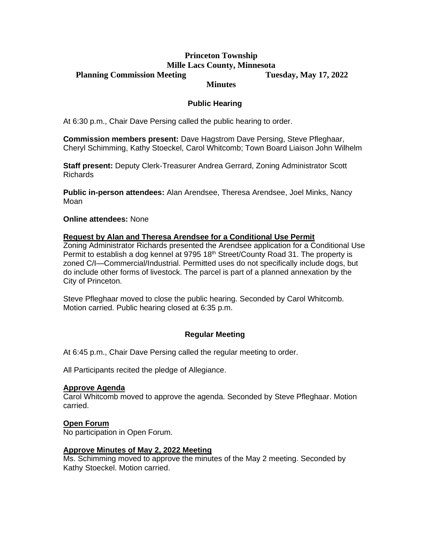### **Princeton Township Mille Lacs County, Minnesota Planning Commission Meeting Tuesday, May 17, 2022**

## **Minutes**

# **Public Hearing**

At 6:30 p.m., Chair Dave Persing called the public hearing to order.

**Commission members present:** Dave Hagstrom Dave Persing, Steve Pfleghaar, Cheryl Schimming, Kathy Stoeckel, Carol Whitcomb; Town Board Liaison John Wilhelm

**Staff present:** Deputy Clerk-Treasurer Andrea Gerrard, Zoning Administrator Scott Richards

**Public in-person attendees:** Alan Arendsee, Theresa Arendsee, Joel Minks, Nancy Moan

### **Online attendees:** None

### **Request by Alan and Theresa Arendsee for a Conditional Use Permit**

Zoning Administrator Richards presented the Arendsee application for a Conditional Use Permit to establish a dog kennel at 9795 18<sup>th</sup> Street/County Road 31. The property is zoned C/I—Commercial/Industrial. Permitted uses do not specifically include dogs, but do include other forms of livestock. The parcel is part of a planned annexation by the City of Princeton.

Steve Pfleghaar moved to close the public hearing. Seconded by Carol Whitcomb. Motion carried. Public hearing closed at 6:35 p.m.

## **Regular Meeting**

At 6:45 p.m., Chair Dave Persing called the regular meeting to order.

All Participants recited the pledge of Allegiance.

#### **Approve Agenda**

Carol Whitcomb moved to approve the agenda. Seconded by Steve Pfleghaar. Motion carried.

#### **Open Forum**

No participation in Open Forum.

#### **Approve Minutes of May 2, 2022 Meeting**

Ms. Schimming moved to approve the minutes of the May 2 meeting. Seconded by Kathy Stoeckel. Motion carried.